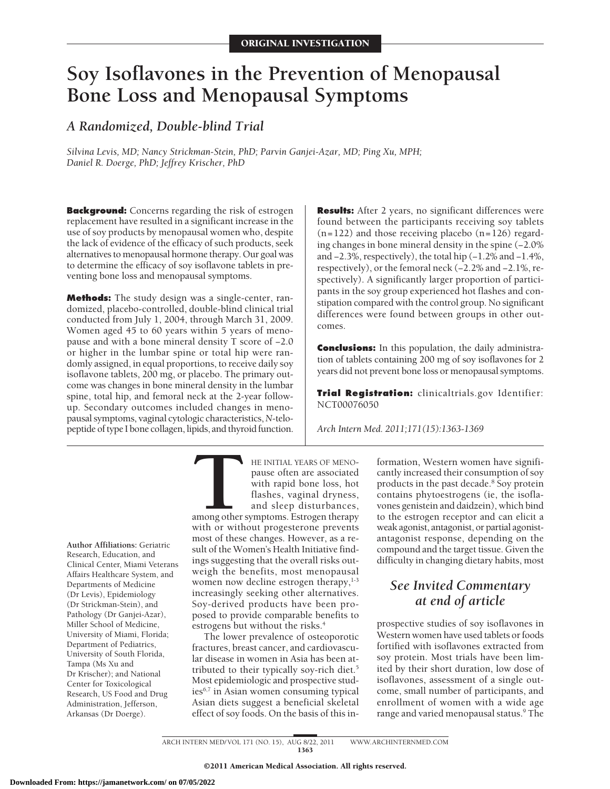# **Soy Isoflavones in the Prevention of Menopausal Bone Loss and Menopausal Symptoms**

## *A Randomized, Double-blind Trial*

*Silvina Levis, MD; Nancy Strickman-Stein, PhD; Parvin Ganjei-Azar, MD; Ping Xu, MPH; Daniel R. Doerge, PhD; Jeffrey Krischer, PhD*

**Background:** Concerns regarding the risk of estrogen replacement have resulted in a significant increase in the use of soy products by menopausal women who, despite the lack of evidence of the efficacy of such products, seek alternatives to menopausal hormone therapy. Our goal was to determine the efficacy of soy isoflavone tablets in preventing bone loss and menopausal symptoms.

**Methods:** The study design was a single-center, randomized, placebo-controlled, double-blind clinical trial conducted from July 1, 2004, through March 31, 2009. Women aged 45 to 60 years within 5 years of menopause and with a bone mineral density T score of −2.0 or higher in the lumbar spine or total hip were randomly assigned, in equal proportions, to receive daily soy isoflavone tablets, 200 mg, or placebo. The primary outcome was changes in bone mineral density in the lumbar spine, total hip, and femoral neck at the 2-year followup. Secondary outcomes included changes in menopausal symptoms, vaginal cytologic characteristics, *N*-telopeptide of type I bone collagen, lipids, and thyroid function. **Results:** After 2 years, no significant differences were found between the participants receiving soy tablets  $(n=122)$  and those receiving placebo  $(n=126)$  regarding changes in bone mineral density in the spine (−2.0% and −2.3%, respectively), the total hip (−1.2% and −1.4%, respectively), or the femoral neck (−2.2% and −2.1%, respectively). A significantly larger proportion of participants in the soy group experienced hot flashes and constipation compared with the control group. No significant differences were found between groups in other outcomes.

**Conclusions:** In this population, the daily administration of tablets containing 200 mg of soy isoflavones for 2 years did not prevent bone loss or menopausal symptoms.

**Trial Registration:** clinicaltrials.gov Identifier: NCT00076050

*Arch Intern Med. 2011;171(15):1363-1369*

**Author Affiliations:** Geriatric Research, Education, and Clinical Center, Miami Veterans Affairs Healthcare System, and Departments of Medicine (Dr Levis), Epidemiology (Dr Strickman-Stein), and Pathology (Dr Ganjei-Azar), Miller School of Medicine, University of Miami, Florida; Department of Pediatrics, University of South Florida, Tampa (Ms Xu and Dr Krischer); and National Center for Toxicological Research, US Food and Drug Administration, Jefferson, Arkansas (Dr Doerge).

HE INITIAL YEARS OF MENO-<br>pause often are associated<br>with rapid bone loss, hot<br>flashes, vaginal dryness,<br>and sleep disturbances,<br>with or without progesterone prevents pause often are associated with rapid bone loss, hot flashes, vaginal dryness, and sleep disturbances, among other symptoms. Estrogen therapy with or without progesterone prevents most of these changes. However, as a result of the Women's Health Initiative findings suggesting that the overall risks outweigh the benefits, most menopausal women now decline estrogen therapy,<sup>1-3</sup> increasingly seeking other alternatives. Soy-derived products have been proposed to provide comparable benefits to estrogens but without the risks.<sup>4</sup>

The lower prevalence of osteoporotic fractures, breast cancer, and cardiovascular disease in women in Asia has been attributed to their typically soy-rich diet.5 Most epidemiologic and prospective stud $ies<sup>6,7</sup>$  in Asian women consuming typical Asian diets suggest a beneficial skeletal effect of soy foods. On the basis of this in-

formation, Western women have significantly increased their consumption of soy products in the past decade.<sup>8</sup> Soy protein contains phytoestrogens (ie, the isoflavones genistein and daidzein), which bind to the estrogen receptor and can elicit a weak agonist, antagonist, or partial agonistantagonist response, depending on the compound and the target tissue. Given the difficulty in changing dietary habits, most

# *See Invited Commentary at end of article*

prospective studies of soy isoflavones in Western women have used tablets or foods fortified with isoflavones extracted from soy protein. Most trials have been limited by their short duration, low dose of isoflavones, assessment of a single outcome, small number of participants, and enrollment of women with a wide age range and varied menopausal status.<sup>9</sup> The

ARCH INTERN MED/ VOL 171 (NO. 15), AUG 8/22, 2011 WWW.ARCHINTERNMED.COM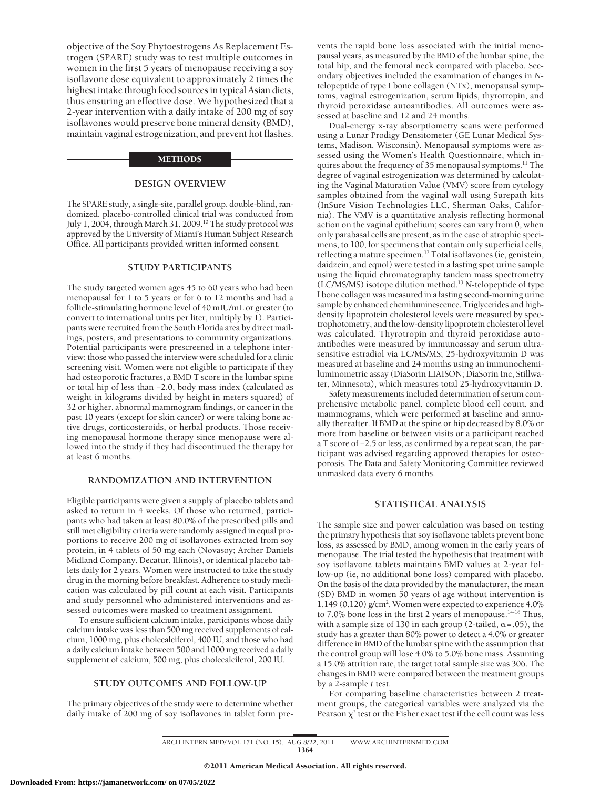objective of the Soy Phytoestrogens As Replacement Estrogen (SPARE) study was to test multiple outcomes in women in the first 5 years of menopause receiving a soy isoflavone dose equivalent to approximately 2 times the highest intake through food sources in typical Asian diets, thus ensuring an effective dose. We hypothesized that a 2-year intervention with a daily intake of 200 mg of soy isoflavones would preserve bone mineral density (BMD), maintain vaginal estrogenization, and prevent hot flashes.

#### **METHODS**

#### **DESIGN OVERVIEW**

The SPARE study, a single-site, parallel group, double-blind, randomized, placebo-controlled clinical trial was conducted from July 1, 2004, through March 31, 2009.10 The study protocol was approved by the University of Miami's Human Subject Research Office. All participants provided written informed consent.

#### **STUDY PARTICIPANTS**

The study targeted women ages 45 to 60 years who had been menopausal for 1 to 5 years or for 6 to 12 months and had a follicle-stimulating hormone level of 40 mIU/mL or greater (to convert to international units per liter, multiply by 1). Participants were recruited from the South Florida area by direct mailings, posters, and presentations to community organizations. Potential participants were prescreened in a telephone interview; those who passed the interview were scheduled for a clinic screening visit. Women were not eligible to participate if they had osteoporotic fractures, a BMD T score in the lumbar spine or total hip of less than −2.0, body mass index (calculated as weight in kilograms divided by height in meters squared) of 32 or higher, abnormal mammogram findings, or cancer in the past 10 years (except for skin cancer) or were taking bone active drugs, corticosteroids, or herbal products. Those receiving menopausal hormone therapy since menopause were allowed into the study if they had discontinued the therapy for at least 6 months.

#### **RANDOMIZATION AND INTERVENTION**

Eligible participants were given a supply of placebo tablets and asked to return in 4 weeks. Of those who returned, participants who had taken at least 80.0% of the prescribed pills and still met eligibility criteria were randomly assigned in equal proportions to receive 200 mg of isoflavones extracted from soy protein, in 4 tablets of 50 mg each (Novasoy; Archer Daniels Midland Company, Decatur, Illinois), or identical placebo tablets daily for 2 years. Women were instructed to take the study drug in the morning before breakfast. Adherence to study medication was calculated by pill count at each visit. Participants and study personnel who administered interventions and assessed outcomes were masked to treatment assignment.

To ensure sufficient calcium intake, participants whose daily calcium intake was less than 500 mg received supplements of calcium, 1000 mg, plus cholecalciferol, 400 IU, and those who had a daily calcium intake between 500 and 1000 mg received a daily supplement of calcium, 500 mg, plus cholecalciferol, 200 IU.

#### **STUDY OUTCOMES AND FOLLOW-UP**

The primary objectives of the study were to determine whether daily intake of 200 mg of soy isoflavones in tablet form prevents the rapid bone loss associated with the initial menopausal years, as measured by the BMD of the lumbar spine, the total hip, and the femoral neck compared with placebo. Secondary objectives included the examination of changes in *N*telopeptide of type I bone collagen (NTx), menopausal symptoms, vaginal estrogenization, serum lipids, thyrotropin, and thyroid peroxidase autoantibodies. All outcomes were assessed at baseline and 12 and 24 months.

Dual-energy x-ray absorptiometry scans were performed using a Lunar Prodigy Densitometer (GE Lunar Medical Systems, Madison, Wisconsin). Menopausal symptoms were assessed using the Women's Health Questionnaire, which inquires about the frequency of 35 menopausal symptoms.<sup>11</sup> The degree of vaginal estrogenization was determined by calculating the Vaginal Maturation Value (VMV) score from cytology samples obtained from the vaginal wall using Surepath kits (InSure Vision Technologies LLC, Sherman Oaks, California). The VMV is a quantitative analysis reflecting hormonal action on the vaginal epithelium; scores can vary from 0, when only parabasal cells are present, as in the case of atrophic specimens, to 100, for specimens that contain only superficial cells, reflecting a mature specimen.12 Total isoflavones (ie, genistein, daidzein, and equol) were tested in a fasting spot urine sample using the liquid chromatography tandem mass spectrometry (LC/MS/MS) isotope dilution method.13 *N*-telopeptide of type I bone collagen was measured in a fasting second-morning urine sample by enhanced chemiluminescence. Triglycerides and highdensity lipoprotein cholesterol levels were measured by spectrophotometry, and the low-density lipoprotein cholesterol level was calculated. Thyrotropin and thyroid peroxidase autoantibodies were measured by immunoassay and serum ultrasensitive estradiol via LC/MS/MS; 25-hydroxyvitamin D was measured at baseline and 24 months using an immunochemiluminometric assay (DiaSorin LIAISON; DiaSorin Inc, Stillwater, Minnesota), which measures total 25-hydroxyvitamin D.

Safety measurements included determination of serum comprehensive metabolic panel, complete blood cell count, and mammograms, which were performed at baseline and annually thereafter. If BMD at the spine or hip decreased by 8.0% or more from baseline or between visits or a participant reached a T score of −2.5 or less, as confirmed by a repeat scan, the participant was advised regarding approved therapies for osteoporosis. The Data and Safety Monitoring Committee reviewed unmasked data every 6 months.

#### **STATISTICAL ANALYSIS**

The sample size and power calculation was based on testing the primary hypothesis that soy isoflavone tablets prevent bone loss, as assessed by BMD, among women in the early years of menopause. The trial tested the hypothesis that treatment with soy isoflavone tablets maintains BMD values at 2-year follow-up (ie, no additional bone loss) compared with placebo. On the basis of the data provided by the manufacturer, the mean (SD) BMD in women 50 years of age without intervention is 1.149 (0.120) g/cm<sup>2</sup>. Women were expected to experience 4.0% to 7.0% bone loss in the first 2 years of menopause.<sup>14-16</sup> Thus, with a sample size of 130 in each group (2-tailed,  $\alpha = .05$ ), the study has a greater than 80% power to detect a 4.0% or greater difference in BMD of the lumbar spine with the assumption that the control group will lose 4.0% to 5.0% bone mass. Assuming a 15.0% attrition rate, the target total sample size was 306. The changes in BMD were compared between the treatment groups by a 2-sample *t* test.

For comparing baseline characteristics between 2 treatment groups, the categorical variables were analyzed via the Pearson  $\chi^2$  test or the Fisher exact test if the cell count was less

ARCH INTERN MED/ VOL 171 (NO. 15), AUG 8/22, 2011 WWW.ARCHINTERNMED.COM 1364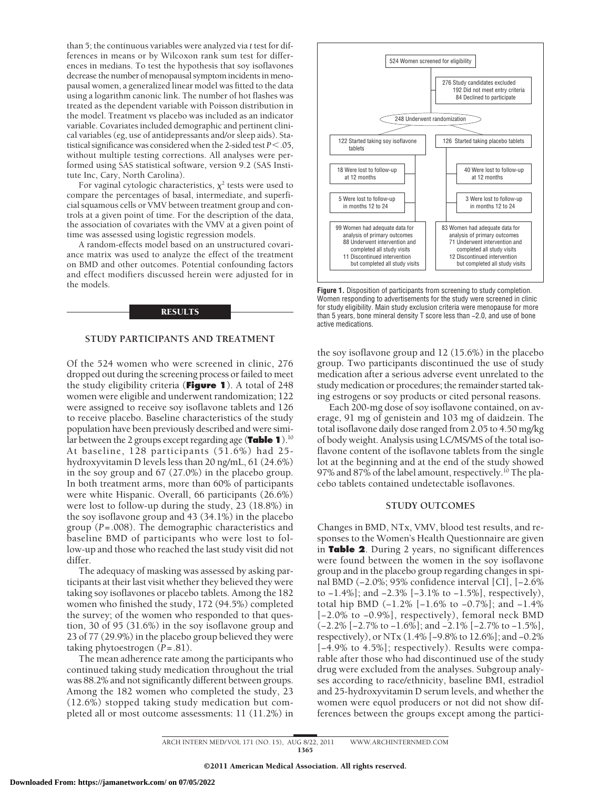than 5; the continuous variables were analyzed via *t* test for differences in means or by Wilcoxon rank sum test for differences in medians. To test the hypothesis that soy isoflavones decrease the number of menopausal symptom incidents in menopausal women, a generalized linear model was fitted to the data using a logarithm canonic link. The number of hot flashes was treated as the dependent variable with Poisson distribution in the model. Treatment vs placebo was included as an indicator variable. Covariates included demographic and pertinent clinical variables (eg, use of antidepressants and/or sleep aids). Statistical significance was considered when the 2-sided test  $P < 0.05$ , without multiple testing corrections. All analyses were performed using SAS statistical software, version 9.2 (SAS Institute Inc, Cary, North Carolina).

For vaginal cytologic characteristics,  $\chi^2$  tests were used to compare the percentages of basal, intermediate, and superficial squamous cells or VMV between treatment group and controls at a given point of time. For the description of the data, the association of covariates with the VMV at a given point of time was assessed using logistic regression models.

A random-effects model based on an unstructured covariance matrix was used to analyze the effect of the treatment on BMD and other outcomes. Potential confounding factors and effect modifiers discussed herein were adjusted for in the models.

#### **RESULTS**

#### **STUDY PARTICIPANTS AND TREATMENT**

Of the 524 women who were screened in clinic, 276 dropped out during the screening process or failed to meet the study eligibility criteria (**Figure 1**). A total of 248 women were eligible and underwent randomization; 122 were assigned to receive soy isoflavone tablets and 126 to receive placebo. Baseline characteristics of the study population have been previously described and were similar between the 2 groups except regarding age (**Table 1**).10 At baseline, 128 participants (51.6%) had 25 hydroxyvitamin D levels less than 20 ng/mL, 61 (24.6%) in the soy group and 67 (27.0%) in the placebo group. In both treatment arms, more than 60% of participants were white Hispanic. Overall, 66 participants (26.6%) were lost to follow-up during the study, 23 (18.8%) in the soy isoflavone group and 43 (34.1%) in the placebo group (*P*=.008). The demographic characteristics and baseline BMD of participants who were lost to follow-up and those who reached the last study visit did not differ.

The adequacy of masking was assessed by asking participants at their last visit whether they believed they were taking soy isoflavones or placebo tablets. Among the 182 women who finished the study, 172 (94.5%) completed the survey; of the women who responded to that question, 30 of 95 (31.6%) in the soy isoflavone group and 23 of 77 (29.9%) in the placebo group believed they were taking phytoestrogen (*P*=.81).

The mean adherence rate among the participants who continued taking study medication throughout the trial was 88.2% and not significantly different between groups. Among the 182 women who completed the study, 23 (12.6%) stopped taking study medication but completed all or most outcome assessments: 11 (11.2%) in



**Figure 1.** Disposition of participants from screening to study completion. Women responding to advertisements for the study were screened in clinic for study eligibility. Main study exclusion criteria were menopause for more than 5 years, bone mineral density T score less than −2.0, and use of bone active medications.

the soy isoflavone group and 12 (15.6%) in the placebo group. Two participants discontinued the use of study medication after a serious adverse event unrelated to the study medication or procedures; the remainder started taking estrogens or soy products or cited personal reasons.

Each 200-mg dose of soy isoflavone contained, on average, 91 mg of genistein and 103 mg of daidzein. The total isoflavone daily dose ranged from 2.05 to 4.50 mg/kg of body weight. Analysis using LC/MS/MS of the total isoflavone content of the isoflavone tablets from the single lot at the beginning and at the end of the study showed 97% and 87% of the label amount, respectively.<sup>10</sup> The placebo tablets contained undetectable isoflavones.

#### **STUDY OUTCOMES**

Changes in BMD, NTx, VMV, blood test results, and responses to the Women's Health Questionnaire are given in **Table 2**. During 2 years, no significant differences were found between the women in the soy isoflavone group and in the placebo group regarding changes in spinal BMD (−2.0%; 95% confidence interval [CI], [−2.6% to −1.4%]; and −2.3% [−3.1% to −1.5%], respectively), total hip BMD (−1.2% [−1.6% to −0.7%]; and −1.4% [−2.0% to −0.9%], respectively), femoral neck BMD (−2.2% [−2.7% to −1.6%]; and −2.1% [−2.7% to −1.5%], respectively), or NTx (1.4% [−9.8% to 12.6%]; and −0.2% [−4.9% to 4.5%]; respectively). Results were comparable after those who had discontinued use of the study drug were excluded from the analyses. Subgroup analyses according to race/ethnicity, baseline BMI, estradiol and 25-hydroxyvitamin D serum levels, and whether the women were equol producers or not did not show differences between the groups except among the partici-

ARCH INTERN MED/ VOL 171 (NO. 15), AUG 8/22, 2011 WWW.ARCHINTERNMED.COM 1365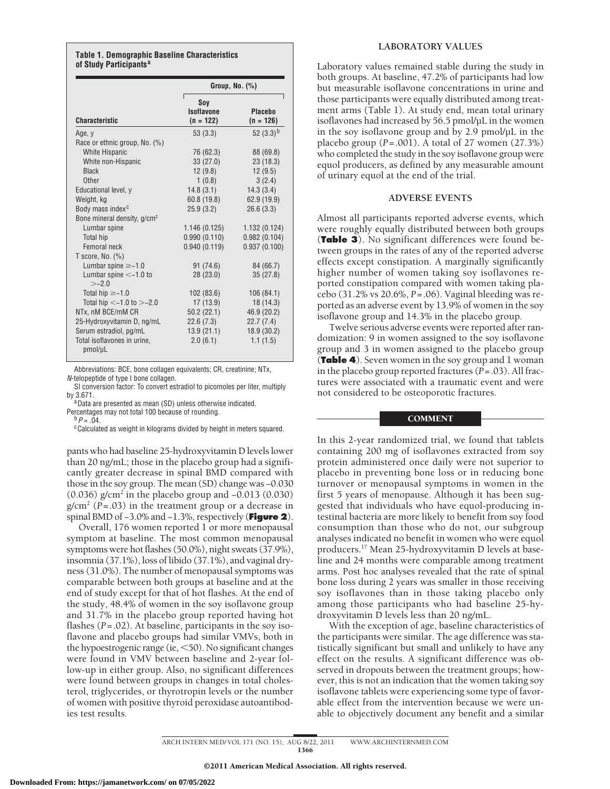#### **Table 1. Demographic Baseline Characteristics of Study Participants<sup>a</sup>**

|                                         | Group, $No.$ $(\%)$                     |                               |  |  |  |
|-----------------------------------------|-----------------------------------------|-------------------------------|--|--|--|
| <b>Characteristic</b>                   | Sov<br><b>Isoflavone</b><br>$(n = 122)$ | <b>Placebo</b><br>$(n = 126)$ |  |  |  |
| Age, y                                  | 53(3.3)                                 | 52 $(3.3)^b$                  |  |  |  |
| Race or ethnic group, No. (%)           |                                         |                               |  |  |  |
| <b>White Hispanic</b>                   | 76 (62.3)                               | 88 (69.8)                     |  |  |  |
| White non-Hispanic                      | 33(27.0)                                | 23(18.3)                      |  |  |  |
| <b>Black</b>                            | 12(9.8)                                 | 12(9.5)                       |  |  |  |
| Other                                   | 1(0.8)                                  | 3(2.4)                        |  |  |  |
| Educational level, y                    | 14.8(3.1)                               | 14.3(3.4)                     |  |  |  |
| Weight, kg                              | 60.8(19.8)                              | 62.9 (19.9)                   |  |  |  |
| Body mass index <sup>c</sup>            | 25.9(3.2)                               | 26.6(3.3)                     |  |  |  |
| Bone mineral density, g/cm <sup>2</sup> |                                         |                               |  |  |  |
| Lumbar spine                            | 1.146(0.125)                            | 1.132(0.124)                  |  |  |  |
| Total hip                               | 0.990(0.110)                            | 0.982(0.104)                  |  |  |  |
| Femoral neck                            | 0.940(0.119)                            | 0.937(0.100)                  |  |  |  |
| T score, No. $(\%)$                     |                                         |                               |  |  |  |
| Lumbar spine $\geq -1.0$                | 91 (74.6)                               | 84 (66.7)                     |  |  |  |
| Lumbar spine $<-1.0$ to<br>$> -2.0$     | 28(23.0)                                | 35(27.8)                      |  |  |  |
| Total hip $\ge -1.0$                    | 102(83.6)                               | 106(84.1)                     |  |  |  |
| Total hip $<-1.0$ to $>-2.0$            | 17(13.9)                                | 18 (14.3)                     |  |  |  |
| NTx, nM BCE/mM CR                       | 50.2(22.1)                              | 46.9 (20.2)                   |  |  |  |
| 25-Hydroxyvitamin D, ng/mL              | 22.6(7.3)                               | 22.7(7.4)                     |  |  |  |
| Serum estradiol, pg/mL                  | 13.9(21.1)                              | 18.9 (30.2)                   |  |  |  |
| Total isoflavones in urine.<br>pmol/µL  | 2.0(6.1)                                | 1.1(1.5)                      |  |  |  |

Abbreviations: BCE, bone collagen equivalents; CR, creatinine; NTx, *N*-telopeptide of type I bone collagen.

SI conversion factor: To convert estradiol to picomoles per liter, multiply

<sup>a</sup> Data are presented as mean (SD) unless otherwise indicated.

Percentages may not total 100 because of rounding.<br><sup>b</sup> *P* = .04.<br><sup>c</sup>Calculated as weight in kilograms divided by height in meters squared.

pants who had baseline 25-hydroxyvitamin D levels lower than 20 ng/mL; those in the placebo group had a significantly greater decrease in spinal BMD compared with those in the soy group. The mean (SD) change was −0.030 (0.036) g/cm2 in the placebo group and −0.013 (0.030)  $g/cm<sup>2</sup>$  ( $P=.03$ ) in the treatment group or a decrease in spinal BMD of −3.0% and −1.3%, respectively (**Figure 2**).

Overall, 176 women reported 1 or more menopausal symptom at baseline. The most common menopausal symptoms were hot flashes (50.0%), night sweats (37.9%), insomnia (37.1%), loss of libido (37.1%), and vaginal dryness (31.0%). The number of menopausal symptoms was comparable between both groups at baseline and at the end of study except for that of hot flashes. At the end of the study, 48.4% of women in the soy isoflavone group and 31.7% in the placebo group reported having hot flashes (*P*=.02). At baseline, participants in the soy isoflavone and placebo groups had similar VMVs, both in the hypoestrogenic range (ie,  $<$ 50). No significant changes were found in VMV between baseline and 2-year follow-up in either group. Also, no significant differences were found between groups in changes in total cholesterol, triglycerides, or thyrotropin levels or the number of women with positive thyroid peroxidase autoantibodies test results.

#### **LABORATORY VALUES**

Laboratory values remained stable during the study in both groups. At baseline, 47.2% of participants had low but measurable isoflavone concentrations in urine and those participants were equally distributed among treatment arms (Table 1). At study end, mean total urinary isoflavones had increased by 56.5 pmol/µL in the women in the soy isoflavone group and by 2.9 pmol/µL in the placebo group (*P*=.001). A total of 27 women (27.3%) who completed the study in the soy isoflavone group were equol producers, as defined by any measurable amount of urinary equol at the end of the trial.

## **ADVERSE EVENTS**

Almost all participants reported adverse events, which were roughly equally distributed between both groups (**Table 3**). No significant differences were found between groups in the rates of any of the reported adverse effects except constipation. A marginally significantly higher number of women taking soy isoflavones reported constipation compared with women taking placebo (31.2% vs 20.6%, *P*=.06). Vaginal bleeding was reported as an adverse event by 13.9% of women in the soy isoflavone group and 14.3% in the placebo group.

Twelve serious adverse events were reported after randomization: 9 in women assigned to the soy isoflavone group and 3 in women assigned to the placebo group (**Table 4**). Seven women in the soy group and 1 woman in the placebo group reported fractures (*P*=.03). All fractures were associated with a traumatic event and were not considered to be osteoporotic fractures.

### **COMMENT**

In this 2-year randomized trial, we found that tablets containing 200 mg of isoflavones extracted from soy protein administered once daily were not superior to placebo in preventing bone loss or in reducing bone turnover or menopausal symptoms in women in the first 5 years of menopause. Although it has been suggested that individuals who have equol-producing intestinal bacteria are more likely to benefit from soy food consumption than those who do not, our subgroup analyses indicated no benefit in women who were equol producers.17 Mean 25-hydroxyvitamin D levels at baseline and 24 months were comparable among treatment arms. Post hoc analyses revealed that the rate of spinal bone loss during 2 years was smaller in those receiving soy isoflavones than in those taking placebo only among those participants who had baseline 25-hydroxyvitamin D levels less than 20 ng/mL.

With the exception of age, baseline characteristics of the participants were similar. The age difference was statistically significant but small and unlikely to have any effect on the results. A significant difference was observed in dropouts between the treatment groups; however, this is not an indication that the women taking soy isoflavone tablets were experiencing some type of favorable effect from the intervention because we were unable to objectively document any benefit and a similar

ARCH INTERN MED/ VOL 171 (NO. 15), AUG 8/22, 2011 WWW.ARCHINTERNMED.COM 1366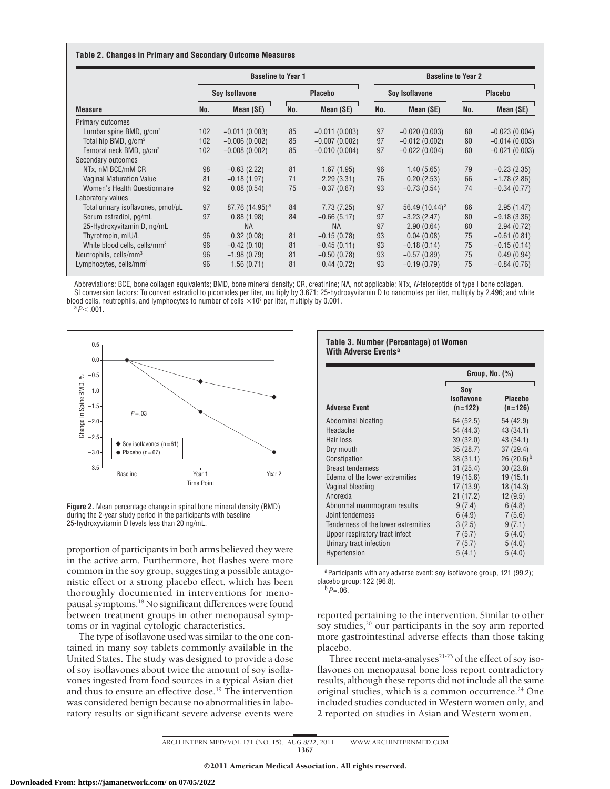#### **Table 2. Changes in Primary and Secondary Outcome Measures**

|                                          |     | <b>Baseline to Year 1</b>  |     |                 |     | <b>Baseline to Year 2</b> |     |                 |
|------------------------------------------|-----|----------------------------|-----|-----------------|-----|---------------------------|-----|-----------------|
|                                          |     | Soy Isoflavone             |     | <b>Placebo</b>  |     | Soy Isoflavone            |     | <b>Placebo</b>  |
| <b>Measure</b>                           | No. | Mean (SE)                  | No. | Mean (SE)       | No. | Mean (SE)                 | No. | Mean (SE)       |
| Primary outcomes                         |     |                            |     |                 |     |                           |     |                 |
| Lumbar spine BMD, $q/cm^2$               | 102 | $-0.011(0.003)$            | 85  | $-0.011(0.003)$ | 97  | $-0.020(0.003)$           | 80  | $-0.023(0.004)$ |
| Total hip BMD, g/cm <sup>2</sup>         | 102 | $-0.006(0.002)$            | 85  | $-0.007(0.002)$ | 97  | $-0.012(0.002)$           | 80  | $-0.014(0.003)$ |
| Femoral neck BMD, g/cm <sup>2</sup>      | 102 | $-0.008(0.002)$            | 85  | $-0.010(0.004)$ | 97  | $-0.022(0.004)$           | 80  | $-0.021(0.003)$ |
| Secondary outcomes                       |     |                            |     |                 |     |                           |     |                 |
| NTx, nM BCE/mM CR                        | 98  | $-0.63(2.22)$              | 81  | 1.67(1.95)      | 96  | 1.40(5.65)                | 79  | $-0.23(2.35)$   |
| <b>Vaginal Maturation Value</b>          | 81  | $-0.18(1.97)$              | 71  | 2.29(3.31)      | 76  | 0.20(2.53)                | 66  | $-1.78(2.86)$   |
| Women's Health Questionnaire             | 92  | 0.08(0.54)                 | 75  | $-0.37(0.67)$   | 93  | $-0.73(0.54)$             | 74  | $-0.34(0.77)$   |
| Laboratory values                        |     |                            |     |                 |     |                           |     |                 |
| Total urinary isoflavones, pmol/µL       | 97  | 87.76 (14.95) <sup>a</sup> | 84  | 7.73(7.25)      | 97  | 56.49 $(10.44)^a$         | 86  | 2.95(1.47)      |
| Serum estradiol, pg/mL                   | 97  | 0.88(1.98)                 | 84  | $-0.66(5.17)$   | 97  | $-3.23(2.47)$             | 80  | $-9.18(3.36)$   |
| 25-Hydroxyvitamin D, ng/mL               |     | <b>NA</b>                  |     | <b>NA</b>       | 97  | 2.90(0.64)                | 80  | 2.94(0.72)      |
| Thyrotropin, mIU/L                       | 96  | 0.32(0.08)                 | 81  | $-0.15(0.78)$   | 93  | 0.04(0.08)                | 75  | $-0.61(0.81)$   |
| White blood cells, cells/mm <sup>3</sup> | 96  | $-0.42(0.10)$              | 81  | $-0.45(0.11)$   | 93  | $-0.18(0.14)$             | 75  | $-0.15(0.14)$   |
| Neutrophils, cells/mm <sup>3</sup>       | 96  | $-1.98(0.79)$              | 81  | $-0.50(0.78)$   | 93  | $-0.57(0.89)$             | 75  | 0.49(0.94)      |
| Lymphocytes, cells/mm <sup>3</sup>       | 96  | 1.56(0.71)                 | 81  | 0.44(0.72)      | 93  | $-0.19(0.79)$             | 75  | $-0.84(0.76)$   |

Abbreviations: BCE, bone collagen equivalents; BMD, bone mineral density; CR, creatinine; NA, not applicable; NTx, *N*-telopeptide of type I bone collagen. SI conversion factors: To convert estradiol to picomoles per liter, multiply by 3.671; 25-hydroxyvitamin D to nanomoles per liter, multiply by 2.496; and white blood cells, neutrophils, and lymphocytes to number of cells  $\times$ 10<sup>9</sup> per liter, multiply by 0.001.<br><sup>a</sup>*P*<.001.



**Figure 2.** Mean percentage change in spinal bone mineral density (BMD) during the 2-year study period in the participants with baseline 25-hydroxyvitamin D levels less than 20 ng/mL.

proportion of participants in both arms believed they were in the active arm. Furthermore, hot flashes were more common in the soy group, suggesting a possible antagonistic effect or a strong placebo effect, which has been thoroughly documented in interventions for menopausal symptoms.<sup>18</sup> No significant differences were found between treatment groups in other menopausal symptoms or in vaginal cytologic characteristics.

The type of isoflavone used was similar to the one contained in many soy tablets commonly available in the United States. The study was designed to provide a dose of soy isoflavones about twice the amount of soy isoflavones ingested from food sources in a typical Asian diet and thus to ensure an effective dose.<sup>19</sup> The intervention was considered benign because no abnormalities in laboratory results or significant severe adverse events were

#### **Table 3. Number (Percentage) of Women With Adverse Events<sup>a</sup>**

|                                     | Group, No. (%)                        |                             |  |  |
|-------------------------------------|---------------------------------------|-----------------------------|--|--|
| <b>Adverse Event</b>                | Soy<br><b>Isoflavone</b><br>$(n=122)$ | <b>Placebo</b><br>$(n=126)$ |  |  |
| Abdominal bloating                  | 64 (52.5)                             | 54 (42.9)                   |  |  |
| Headache                            | 54 (44.3)                             | 43 (34.1)                   |  |  |
| Hair loss                           | 39 (32.0)                             | 43 (34.1)                   |  |  |
| Dry mouth                           | 35(28.7)                              | 37 (29.4)                   |  |  |
| Constipation                        | 38(31.1)                              | 26 $(20.6)^{b}$             |  |  |
| <b>Breast tenderness</b>            | 31(25.4)                              | 30(23.8)                    |  |  |
| Edema of the lower extremities      | 19 (15.6)                             | 19(15.1)                    |  |  |
| Vaginal bleeding                    | 17(13.9)                              | 18 (14.3)                   |  |  |
| Anorexia                            | 21(17.2)                              | 12(9.5)                     |  |  |
| Abnormal mammogram results          | 9(7.4)                                | 6(4.8)                      |  |  |
| Joint tenderness                    | 6(4.9)                                | 7(5.6)                      |  |  |
| Tenderness of the lower extremities | 3(2.5)                                | 9(7.1)                      |  |  |
| Upper respiratory tract infect      | 7(5.7)                                | 5(4.0)                      |  |  |
| Urinary tract infection             | 7(5.7)                                | 5(4.0)                      |  |  |
| Hypertension                        | 5(4.1)                                | 5(4.0)                      |  |  |

a Participants with any adverse event: soy isoflavone group, 121 (99.2); placebo group: 122 (96.8). <sup>b</sup>*P*=.06.

reported pertaining to the intervention. Similar to other soy studies,<sup>20</sup> our participants in the soy arm reported more gastrointestinal adverse effects than those taking placebo.

Three recent meta-analyses $21-23$  of the effect of soy isoflavones on menopausal bone loss report contradictory results, although these reports did not include all the same original studies, which is a common occurrence.<sup>24</sup> One included studies conducted in Western women only, and 2 reported on studies in Asian and Western women.

ARCH INTERN MED/ VOL 171 (NO. 15), AUG 8/22, 2011 WWW.ARCHINTERNMED.COM 1367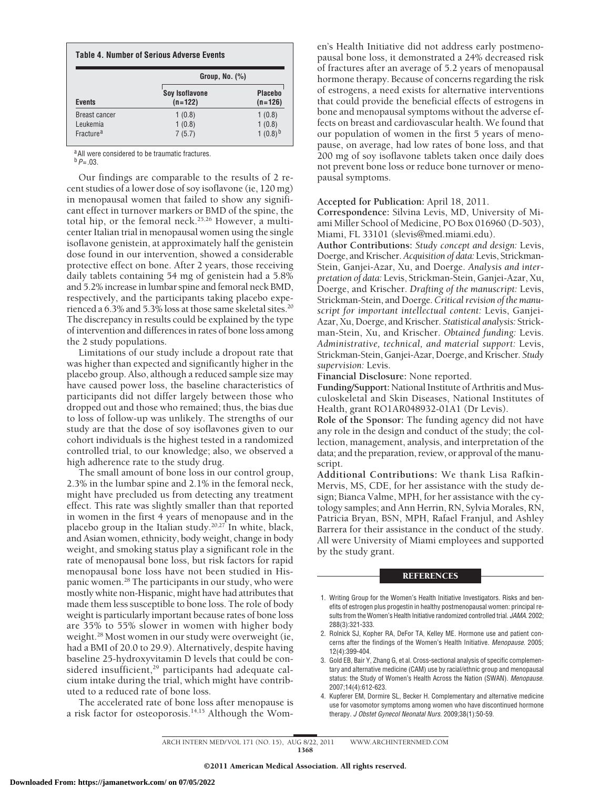|                             | Group, No. $(\%)$                  |                             |
|-----------------------------|------------------------------------|-----------------------------|
| <b>Events</b>               | <b>Soy Isoflavone</b><br>$(n=122)$ | <b>Placebo</b><br>$(n=126)$ |
| <b>Breast cancer</b>        | 1(0.8)                             | 1(0.8)                      |
| Leukemia                    | 1(0.8)                             | 1(0.8)                      |
| <b>Fracture<sup>a</sup></b> | 7(5.7)                             | 1 $(0.8)^{b}$               |

<sup>a</sup> All were considered to be traumatic fractures.

 $b$   $P = .03$ .

Our findings are comparable to the results of 2 recent studies of a lower dose of soy isoflavone (ie, 120 mg) in menopausal women that failed to show any significant effect in turnover markers or BMD of the spine, the total hip, or the femoral neck.25,26 However, a multicenter Italian trial in menopausal women using the single isoflavone genistein, at approximately half the genistein dose found in our intervention, showed a considerable protective effect on bone. After 2 years, those receiving daily tablets containing 54 mg of genistein had a 5.8% and 5.2% increase in lumbar spine and femoral neck BMD, respectively, and the participants taking placebo experienced a 6.3% and 5.3% loss at those same skeletal sites.<sup>20</sup> The discrepancy in results could be explained by the type of intervention and differences in rates of bone loss among the 2 study populations.

Limitations of our study include a dropout rate that was higher than expected and significantly higher in the placebo group. Also, although a reduced sample size may have caused power loss, the baseline characteristics of participants did not differ largely between those who dropped out and those who remained; thus, the bias due to loss of follow-up was unlikely. The strengths of our study are that the dose of soy isoflavones given to our cohort individuals is the highest tested in a randomized controlled trial, to our knowledge; also, we observed a high adherence rate to the study drug.

The small amount of bone loss in our control group, 2.3% in the lumbar spine and 2.1% in the femoral neck, might have precluded us from detecting any treatment effect. This rate was slightly smaller than that reported in women in the first 4 years of menopause and in the placebo group in the Italian study.<sup>20,27</sup> In white, black, and Asian women, ethnicity, body weight, change in body weight, and smoking status play a significant role in the rate of menopausal bone loss, but risk factors for rapid menopausal bone loss have not been studied in Hispanic women.28 The participants in our study, who were mostly white non-Hispanic, might have had attributes that made them less susceptible to bone loss. The role of body weight is particularly important because rates of bone loss are 35% to 55% slower in women with higher body weight.<sup>28</sup> Most women in our study were overweight (ie, had a BMI of 20.0 to 29.9). Alternatively, despite having baseline 25-hydroxyvitamin D levels that could be considered insufficient,<sup>29</sup> participants had adequate calcium intake during the trial, which might have contributed to a reduced rate of bone loss.

The accelerated rate of bone loss after menopause is a risk factor for osteoporosis.<sup>14,15</sup> Although the Women's Health Initiative did not address early postmenopausal bone loss, it demonstrated a 24% decreased risk of fractures after an average of 5.2 years of menopausal hormone therapy. Because of concerns regarding the risk of estrogens, a need exists for alternative interventions that could provide the beneficial effects of estrogens in bone and menopausal symptoms without the adverse effects on breast and cardiovascular health. We found that our population of women in the first 5 years of menopause, on average, had low rates of bone loss, and that 200 mg of soy isoflavone tablets taken once daily does not prevent bone loss or reduce bone turnover or menopausal symptoms.

**Accepted for Publication:** April 18, 2011.

**Correspondence:** Silvina Levis, MD, University of Miami Miller School of Medicine, PO Box 016960 (D-503), Miami, FL 33101 (slevis@med.miami.edu).

**Author Contributions:** *Study concept and design:* Levis, Doerge, and Krischer.*Acquisition of data:* Levis, Strickman-Stein, Ganjei-Azar, Xu, and Doerge. *Analysis and interpretation of data:* Levis, Strickman-Stein, Ganjei-Azar, Xu, Doerge, and Krischer. *Drafting of the manuscript:* Levis, Strickman-Stein, and Doerge.*Critical revision of the manuscript for important intellectual content:* Levis, Ganjei-Azar, Xu, Doerge, and Krischer. *Statistical analysis:* Strickman-Stein, Xu, and Krischer. *Obtained funding:* Levis. *Administrative, technical, and material support:* Levis, Strickman-Stein, Ganjei-Azar, Doerge, and Krischer. *Study supervision:* Levis.

**Financial Disclosure:** None reported.

**Funding/Support:** National Institute of Arthritis and Musculoskeletal and Skin Diseases, National Institutes of Health, grant RO1AR048932-01A1 (Dr Levis).

**Role of the Sponsor:** The funding agency did not have any role in the design and conduct of the study; the collection, management, analysis, and interpretation of the data; and the preparation, review, or approval of the manuscript.

**Additional Contributions:** We thank Lisa Rafkin-Mervis, MS, CDE, for her assistance with the study design; Bianca Valme, MPH, for her assistance with the cytology samples; and Ann Herrin, RN, Sylvia Morales, RN, Patricia Bryan, BSN, MPH, Rafael Franjul, and Ashley Barrera for their assistance in the conduct of the study. All were University of Miami employees and supported by the study grant.

#### **REFERENCES**

- 1. Writing Group for the Women's Health Initiative Investigators. Risks and benefits of estrogen plus progestin in healthy postmenopausal women: principal results from the Women's Health Initiative randomized controlled trial. *JAMA*. 2002; 288(3):321-333.
- 2. Rolnick SJ, Kopher RA, DeFor TA, Kelley ME. Hormone use and patient concerns after the findings of the Women's Health Initiative. *Menopause*. 2005; 12(4):399-404.
- 3. Gold EB, Bair Y, Zhang G, et al. Cross-sectional analysis of specific complementary and alternative medicine (CAM) use by racial/ethnic group and menopausal status: the Study of Women's Health Across the Nation (SWAN). *Menopause*. 2007;14(4):612-623.
- 4. Kupferer EM, Dormire SL, Becker H. Complementary and alternative medicine use for vasomotor symptoms among women who have discontinued hormone therapy. *J Obstet Gynecol Neonatal Nurs*. 2009;38(1):50-59.